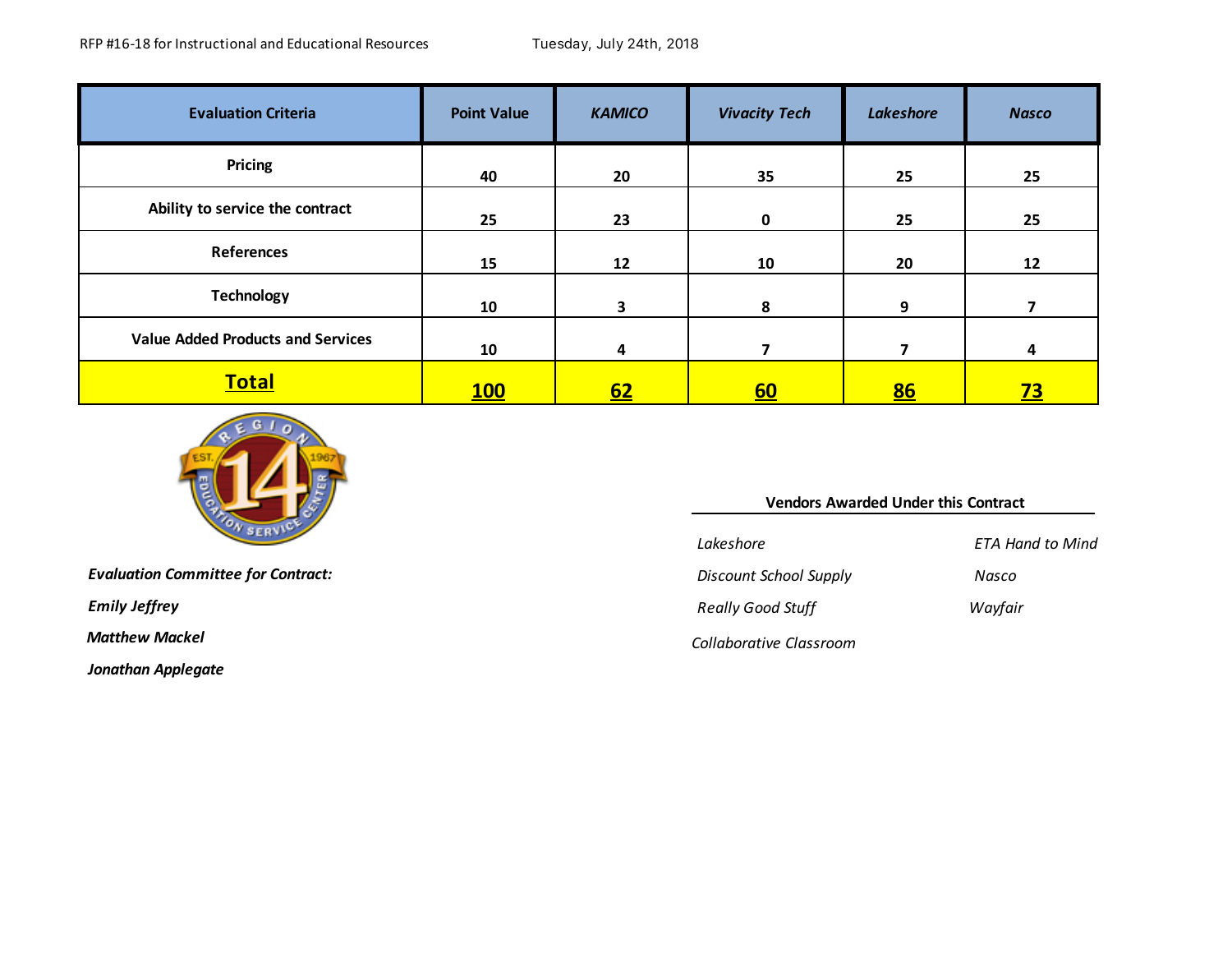| <b>Evaluation Criteria</b>               | <b>Point Value</b> | <b>KAMICO</b> | <b>Vivacity Tech</b> | <b>Lakeshore</b> | <b>Nasco</b> |
|------------------------------------------|--------------------|---------------|----------------------|------------------|--------------|
| Pricing                                  | 40                 | 20            | 35                   | 25               | 25           |
| Ability to service the contract          | 25                 | 23            | $\mathbf 0$          | 25               | 25           |
| <b>References</b>                        | 15                 | 12            | 10                   | 20               | 12           |
| <b>Technology</b>                        | 10                 | 3             | 8                    | 9                |              |
| <b>Value Added Products and Services</b> | 10                 | 4             |                      | 7                | 4            |
| <b>Total</b>                             | <u>100</u>         | <u>62</u>     | <u>60</u>            | 86               | <u>73</u>    |



*Jonathan Applegate*

| YО.                                       | <b>Vendors Awarded Under this Contract</b> |                         |  |  |  |
|-------------------------------------------|--------------------------------------------|-------------------------|--|--|--|
|                                           | Lakeshore                                  | <b>ETA Hand to Mind</b> |  |  |  |
| <b>Evaluation Committee for Contract:</b> | Discount School Supply                     | Nasco                   |  |  |  |
| <b>Emily Jeffrey</b>                      | <b>Really Good Stuff</b>                   | Wayfair                 |  |  |  |
| Matthew Mackel                            | Collaborative Classroom                    |                         |  |  |  |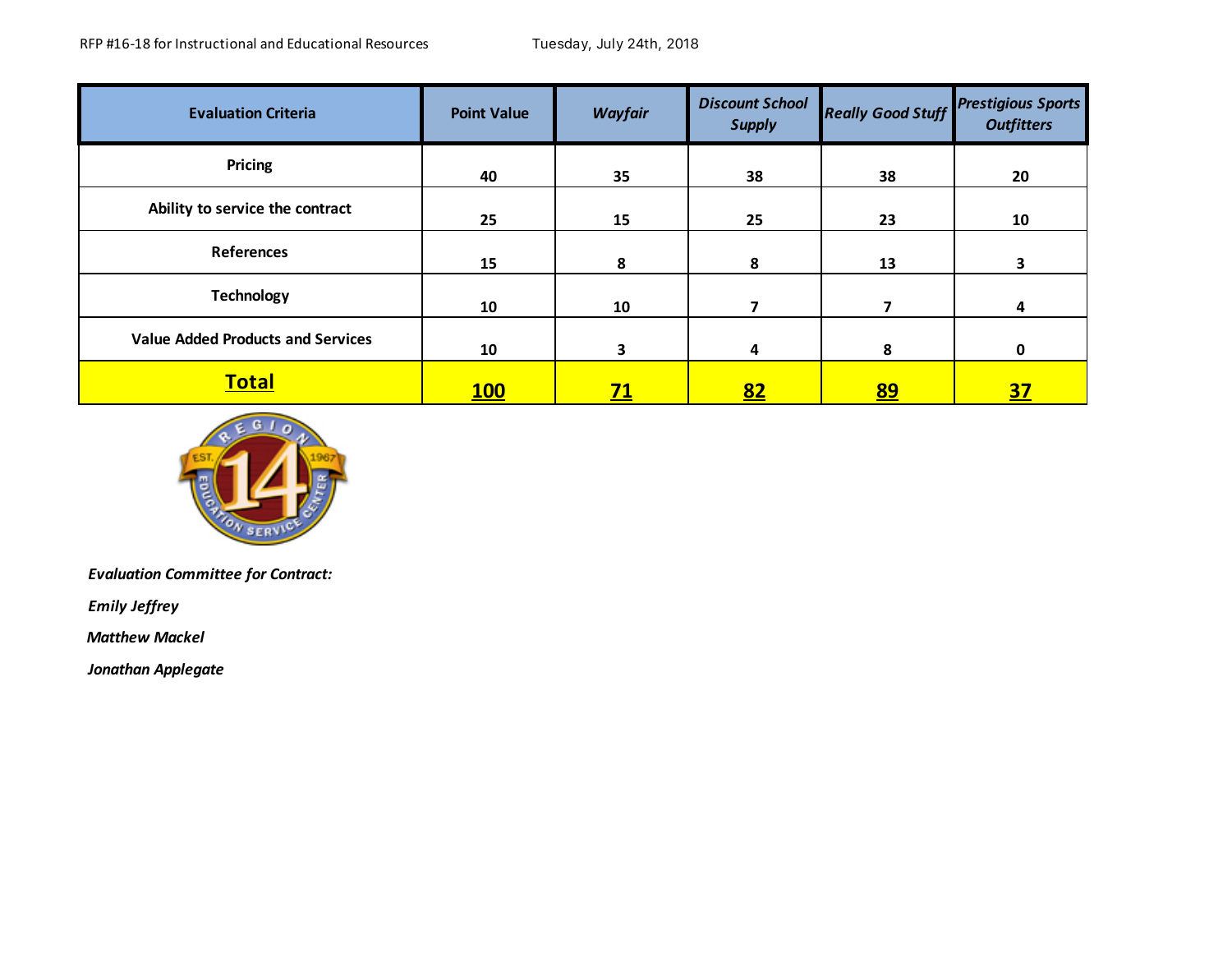| <b>Evaluation Criteria</b>               | <b>Point Value</b> | <b>Wayfair</b>          | <b>Discount School</b><br><b>Supply</b> | <b>Really Good Stuff</b> | <b>Prestigious Sports</b><br><b>Outfitters</b> |
|------------------------------------------|--------------------|-------------------------|-----------------------------------------|--------------------------|------------------------------------------------|
| Pricing                                  | 40                 | 35                      | 38                                      | 38                       | 20                                             |
| Ability to service the contract          | 25                 | 15                      | 25                                      | 23                       | 10                                             |
| <b>References</b>                        | 15                 | 8                       | 8                                       | 13                       | 3                                              |
| <b>Technology</b>                        | 10                 | 10                      |                                         | 7                        | 4                                              |
| <b>Value Added Products and Services</b> | 10                 | $\overline{\mathbf{3}}$ | 4                                       | 8                        | 0                                              |
| <u>Total</u>                             | <b>100</b>         | <u>71</u>               | <u>82</u>                               | <u>89</u>                | <u>37</u>                                      |



*Evaluation Committee for Contract:* 

*Emily Jeffrey*

 *Matthew Mackel*

*Jonathan Applegate*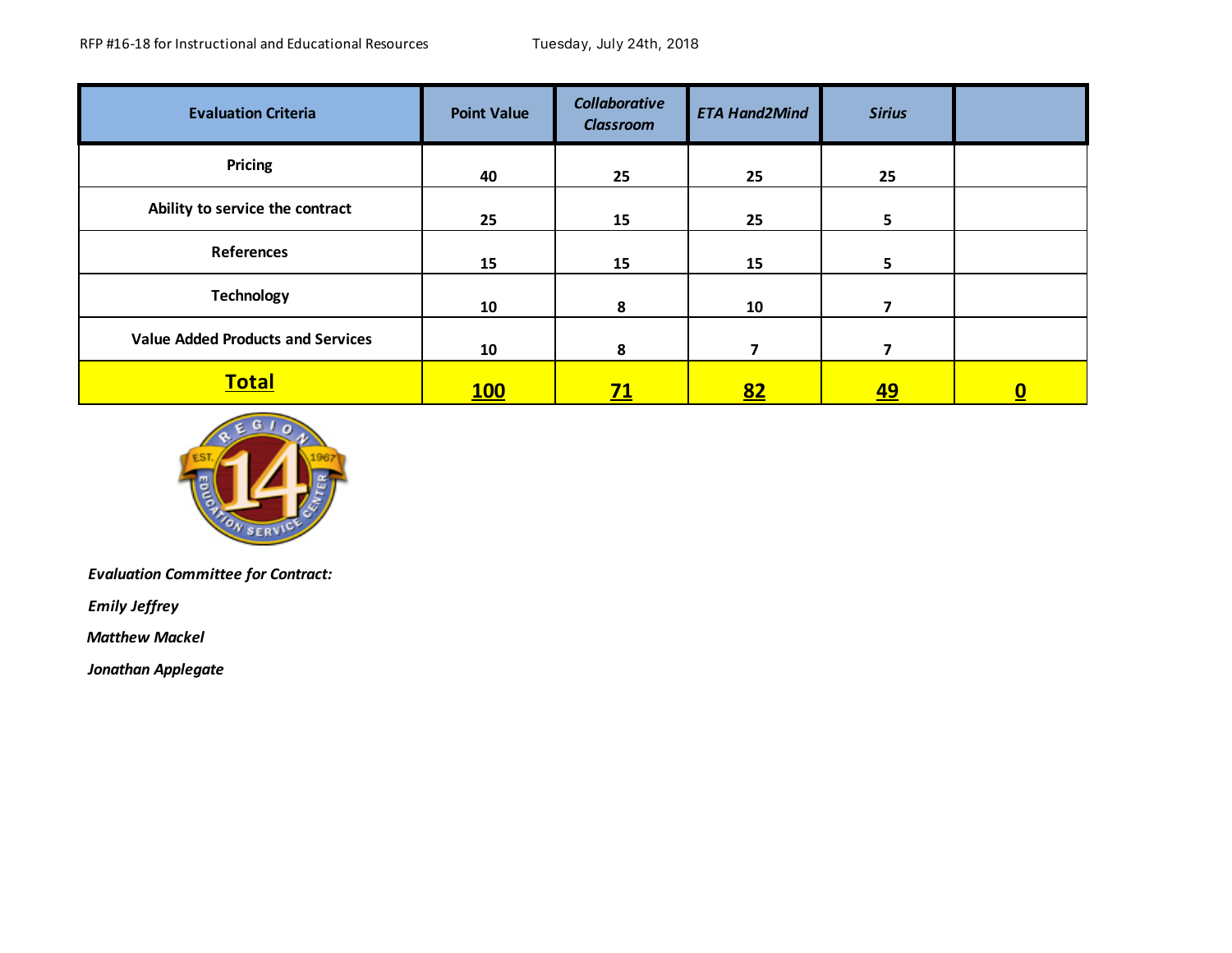| <b>Evaluation Criteria</b>               | <b>Point Value</b> | <b>Collaborative</b><br><b>Classroom</b> | <b>ETA Hand2Mind</b> | <b>Sirius</b> |                          |
|------------------------------------------|--------------------|------------------------------------------|----------------------|---------------|--------------------------|
| <b>Pricing</b>                           | 40                 | 25                                       | 25                   | 25            |                          |
| Ability to service the contract          | 25                 | 15                                       | 25                   | 5             |                          |
| <b>References</b>                        | 15                 | 15                                       | 15                   | 5             |                          |
| <b>Technology</b>                        | 10                 | 8                                        | 10                   | 7             |                          |
| <b>Value Added Products and Services</b> | 10                 | 8                                        | 7                    | 7             |                          |
| <b>Total</b>                             | <u>100</u>         | <u>71</u>                                | <u>82</u>            | <u>49</u>     | $\underline{\mathbf{0}}$ |



*Evaluation Committee for Contract:* 

*Emily Jeffrey*

 *Matthew Mackel*

*Jonathan Applegate*